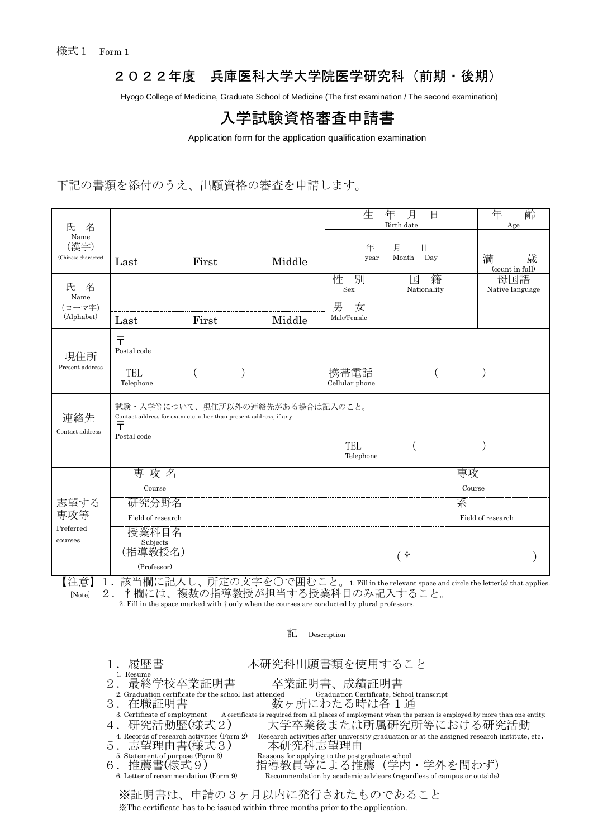### 2022年度 兵庫医科大学大学院医学研究科(前期・後期)

Hyogo College of Medicine, Graduate School of Medicine (The first examination / The second examination)

## 入学試験資格審査申請書

Application form for the application qualification examination

下記の書類を添付のうえ、出願資格の審査を申請します。

| 名<br>氏<br>Name<br>(漢字)<br>(Chinese character) |                                                                                                                      |              | 生      | 年<br>齢<br>Age          |                                                                                |                           |
|-----------------------------------------------|----------------------------------------------------------------------------------------------------------------------|--------------|--------|------------------------|--------------------------------------------------------------------------------|---------------------------|
|                                               | Last                                                                                                                 | First        | Middle | 年<br>year              | 月<br>日<br>Month<br>Day                                                         | 満<br>歳<br>(count in full) |
| 名<br>氏<br>Name<br>(ローマ字)<br>(Alphabet)        |                                                                                                                      |              |        | 性<br>別<br>Sex          | 籍<br>国<br>Nationality                                                          | 母国語<br>Native language    |
|                                               |                                                                                                                      |              |        | 男<br>女                 |                                                                                |                           |
|                                               | Last                                                                                                                 | First        | Middle | Male/Female            |                                                                                |                           |
| 現住所<br>Present address                        | $\bar{\tau}$<br>Postal code                                                                                          |              |        |                        |                                                                                |                           |
|                                               | <b>TEL</b><br>Telephone                                                                                              |              |        | 携帯電話<br>Cellular phone |                                                                                |                           |
| 連絡先<br>Contact address                        | 試験・入学等について、現住所以外の連絡先がある場合は記入のこと。<br>Contact address for exam etc. other than present address, if any<br>$\bar{\tau}$ |              |        |                        |                                                                                |                           |
|                                               | Postal code                                                                                                          |              |        | TEL<br>Telephone       |                                                                                |                           |
| 志望する<br>専攻等<br>Preferred<br>courses           | 専攻名                                                                                                                  |              |        | 専攻                     |                                                                                |                           |
|                                               | Course                                                                                                               |              |        |                        |                                                                                | Course                    |
|                                               | 研究分野名                                                                                                                |              |        |                        | 系                                                                              |                           |
|                                               | Field of research                                                                                                    |              |        |                        |                                                                                | Field of research         |
|                                               | 授業科目名<br>Subjects                                                                                                    |              |        |                        |                                                                                |                           |
|                                               | (指導教授名)                                                                                                              |              |        |                        | (†                                                                             |                           |
|                                               | (Professor)                                                                                                          |              |        |                        |                                                                                |                           |
| 【注音】<br>1                                     | 該当欄に記入                                                                                                               | 所定の文字を○で囲むこと |        |                        | $\pm 1$ . E. H in the notation tengoe and similar the latter $(a)$ that angli- |                           |

【汪恵】1.談当欄に記<し、所定の又子を○で囲むこと。1. Fill in the relevant space and circle the letter(s) that applies. [Note] 2.†欄には、複数の指導教授が担当する授業科目のみ記入すること。

2. Fill in the space marked with † only when the courses are conducted by plural professors.

## 記 Description 1.履歴書 - 本研究科出願書類を使用すること<br>- 1. Resume<br>2.最終学校卒業証明書 - 卒業証明書、成績証明書 2. 最終学校卒業証明書 卒業証明書、成績証明書<br>2. Graduation certificate for the school last attended Graduation Certificate, School transcript<br>3. 在職証明書 数ヶ所にわたる時は各1通 3. Certificate of employment A certificate is required from all places of employment when the person is employed by more than one entity.<br>4. 研究活動歴(様式2) 大学卒業後または所属研究所等における研究活動 大学卒業後または所属研究所等における研究活動 4. Records of research activities (Form 2) Research activities after university graduation or at the assigned research institute, etc.<br>. 志望理由書(様式 3) 本研究科志望理由 5. 志望理由書(様式3)<br>  $\frac{5. \text{Statement of purpose (FQFTB)}}{5. \text{Statement of purpose (FQFTB)}}$ 5. Statement of purpose (Form 3) Reasons for applying to the postgraduate school 6. 推薦書(様式9) 指導教員等による推薦(学内 . 推薦書(様式9) 指導教員等による推薦(学内・学外を問わず)<br>6. Letter of recommendation (Form 9) Recommendation by academic advisors (regardless of campus or outside) ※証明書は、申請の3ヶ月以内に発行されたものであること

※The certificate has to be issued within three months prior to the application.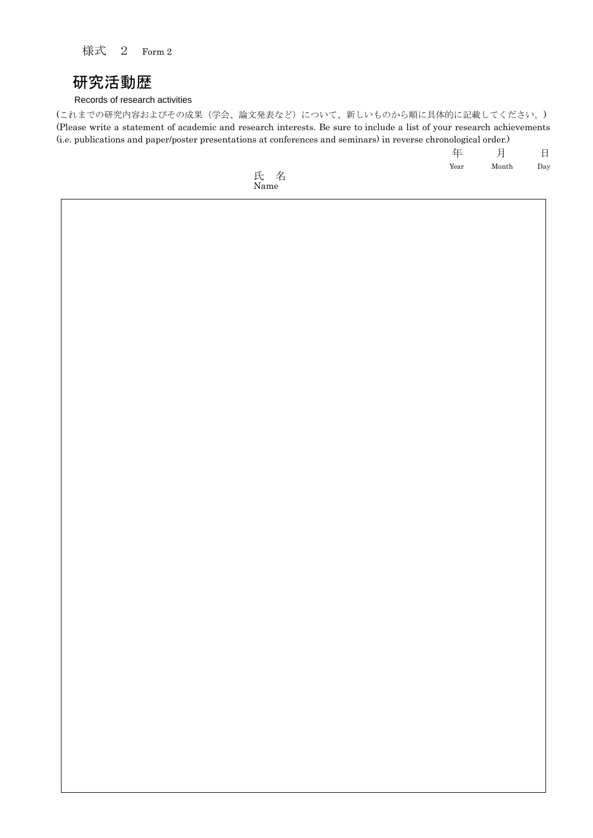様式 2 Form 2

## 研究活動歴

#### Records of research activities

(これまでの研究内容およびその成果(学会、論文発表など)について、新しいものから順に具体的に記載してください。) (Please write a statement of academic and research interests. Be sure to include a list of your research achievements (i.e. publications and paper/poster presentations at conferences and seminars) in reverse chronological order.)

> 年 月 日 Year Month Day

氏 名 Name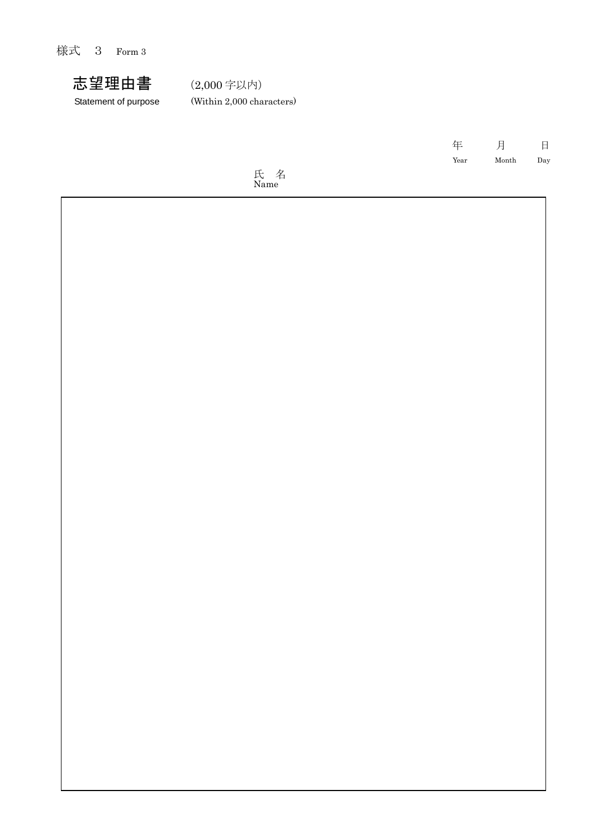様式 3 Form 3



Statement of purpose (Within 2,000 characters)

 年 月 日 Year Month Day

氏 名 Name